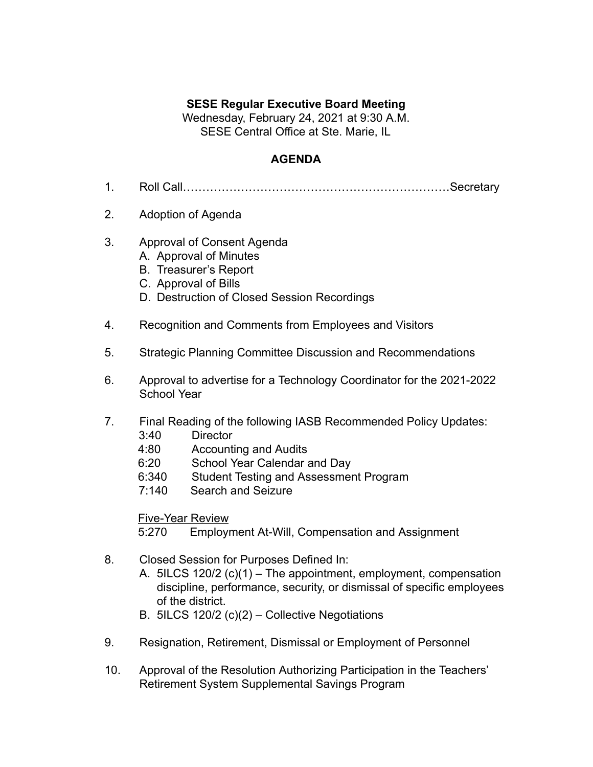## **SESE Regular Executive Board Meeting**

Wednesday, February 24, 2021 at 9:30 A.M. SESE Central Office at Ste. Marie, IL

## **AGENDA**

- 1. Roll Call……………………………………………………………Secretary
- 2. Adoption of Agenda
- 3. Approval of Consent Agenda
	- A. Approval of Minutes
	- B. Treasurer's Report
	- C. Approval of Bills
	- D. Destruction of Closed Session Recordings
- 4. Recognition and Comments from Employees and Visitors
- 5. Strategic Planning Committee Discussion and Recommendations
- 6. Approval to advertise for a Technology Coordinator for the 2021-2022 School Year
- 7. Final Reading of the following IASB Recommended Policy Updates:
	- 3:40 Director
	- 4:80 Accounting and Audits
	- 6:20 School Year Calendar and Day
	- 6:340 Student Testing and Assessment Program
	- 7:140 Search and Seizure

## Five-Year Review

5:270 Employment At-Will, Compensation and Assignment

- 8. Closed Session for Purposes Defined In:
	- A. 5ILCS 120/2 (c)(1) The appointment, employment, compensation discipline, performance, security, or dismissal of specific employees of the district.
	- B. 5ILCS 120/2 (c)(2) Collective Negotiations
- 9. Resignation, Retirement, Dismissal or Employment of Personnel
- 10. Approval of the Resolution Authorizing Participation in the Teachers' Retirement System Supplemental Savings Program